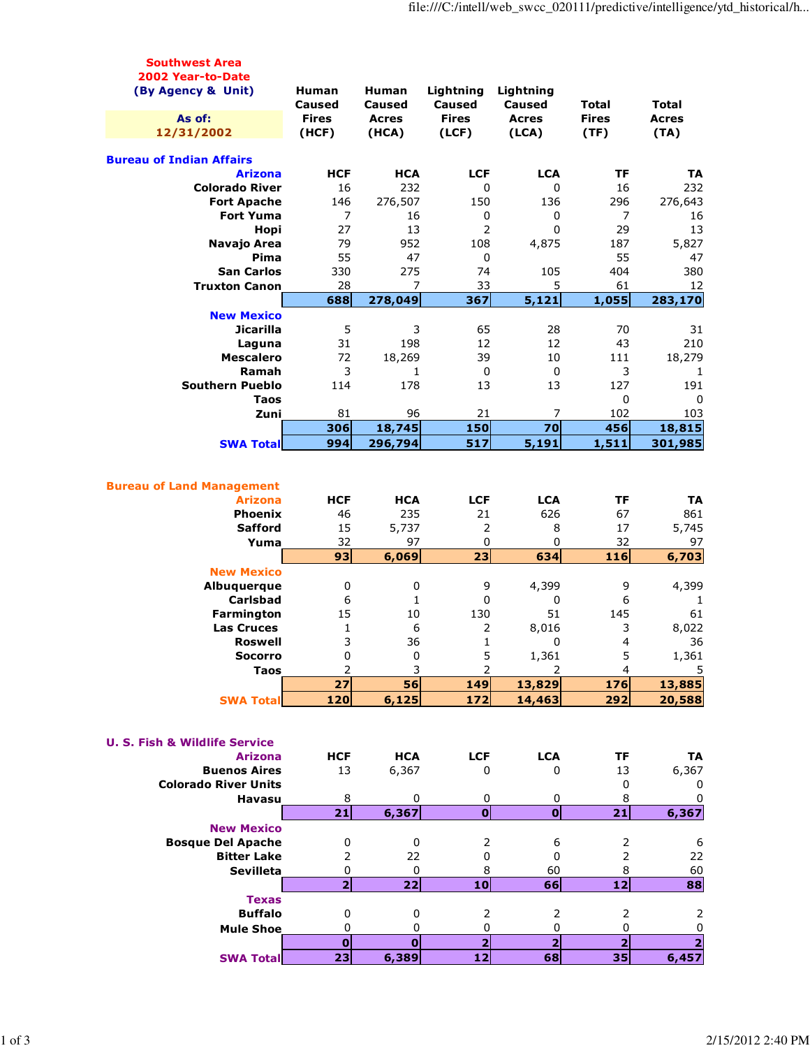| <b>Southwest Area</b>                    |                   |                      |                               |                         |                               |                                  |
|------------------------------------------|-------------------|----------------------|-------------------------------|-------------------------|-------------------------------|----------------------------------|
| 2002 Year-to-Date                        |                   |                      |                               |                         |                               |                                  |
| (By Agency & Unit)                       | Human             | Human                | Lightning                     | Lightning               |                               |                                  |
|                                          | <b>Caused</b>     | Caused               | <b>Caused</b>                 | <b>Caused</b>           | <b>Total</b>                  | Total                            |
| As of:                                   | <b>Fires</b>      | <b>Acres</b>         | <b>Fires</b>                  | <b>Acres</b>            | <b>Fires</b>                  | <b>Acres</b><br>(TA)             |
| 12/31/2002                               | (HCF)             | (HCA)                | (ICF)                         | (LCA)                   | (TF)                          |                                  |
| <b>Bureau of Indian Affairs</b>          |                   |                      |                               |                         |                               |                                  |
| <b>Arizona</b>                           | <b>HCF</b>        | <b>HCA</b>           | <b>LCF</b>                    | <b>LCA</b>              | ΤF                            | TA                               |
| <b>Colorado River</b>                    | 16                | 232                  | 0                             | 0                       | 16                            | 232                              |
| <b>Fort Apache</b>                       | 146               | 276,507              | 150                           | 136                     | 296                           | 276,643                          |
| <b>Fort Yuma</b>                         | $\overline{7}$    | 16                   | 0                             | 0                       | 7                             |                                  |
|                                          | 27                | 13                   | $\overline{2}$                | 0                       | 29                            | 16<br>13                         |
| Hopi                                     |                   |                      |                               |                         |                               |                                  |
| Navajo Area                              | 79                | 952                  | 108                           | 4,875                   | 187                           | 5,827                            |
| Pima                                     | 55                | 47                   | 0                             |                         | 55                            | 47                               |
| <b>San Carlos</b>                        | 330               | 275                  | 74                            | 105                     | 404                           | 380                              |
| <b>Truxton Canon</b>                     | 28                | 7                    | 33                            | 5                       | 61                            | 12                               |
|                                          | 688               | 278,049              | 367                           | 5,121                   | 1,055                         | 283,170                          |
| <b>New Mexico</b>                        |                   |                      |                               |                         |                               |                                  |
| <b>Jicarilla</b>                         | 5                 | 3                    | 65                            | 28                      | 70                            | 31                               |
| Laguna                                   | 31                | 198                  | 12                            | 12                      | 43                            | 210                              |
| <b>Mescalero</b>                         | 72                | 18,269               | 39                            | 10                      | 111                           | 18,279                           |
| Ramah                                    | 3                 | $\mathbf{1}$         | $\mathbf 0$                   | 0                       | 3                             | 1                                |
| <b>Southern Pueblo</b>                   | 114               | 178                  | 13                            | 13                      | 127                           | 191                              |
| Taos                                     |                   |                      |                               |                         | 0                             | 0                                |
| Zuni                                     | 81                | 96                   | 21                            | 7                       | 102                           | 103                              |
|                                          | 306               | 18,745               | 150                           | 70                      | 456                           | 18,815                           |
| <b>SWA Total</b>                         | 994               | 296,794              | 517                           | 5,191                   | 1,511                         | 301,985                          |
|                                          |                   |                      |                               |                         |                               |                                  |
|                                          |                   |                      |                               |                         |                               |                                  |
| <b>Bureau of Land Management</b>         |                   |                      |                               |                         |                               |                                  |
| <b>Arizona</b>                           | <b>HCF</b>        | <b>HCA</b>           | <b>LCF</b>                    | <b>LCA</b>              | TF                            | TA                               |
| <b>Phoenix</b>                           | 46                | 235                  | 21                            | 626                     | 67                            | 861                              |
| <b>Safford</b>                           | 15                | 5,737                | 2                             | 8                       | 17                            | 5,745                            |
|                                          |                   |                      |                               |                         |                               |                                  |
|                                          |                   | 97                   | $\mathbf 0$                   | 0                       | 32                            | 97                               |
| Yuma                                     | 32                |                      |                               |                         |                               |                                  |
|                                          | 93                | 6,069                | $\overline{23}$               | 634                     | 116                           | 6,703                            |
| <b>New Mexico</b>                        |                   |                      |                               |                         |                               |                                  |
| Albuquerque                              | 0                 | 0                    | 9                             | 4,399                   | 9                             | 4,399                            |
| <b>Carlsbad</b>                          | 6                 | 1                    | 0                             | 0                       | 6                             | 1                                |
| Farmington                               | 15                | 10                   | 130                           | 51                      | 145                           | 61                               |
| <b>Las Cruces</b>                        | 1                 | 6                    | 2                             | 8,016                   | 3                             | 8,022                            |
| <b>Roswell</b>                           | 3                 | 36                   | $\mathbf{1}$                  | 0                       | 4                             | 36                               |
| Socorro                                  | 0                 | 0                    | 5                             | 1,361                   | 5                             | 1,361                            |
| <b>Taos</b>                              | 2                 | 3                    | $\overline{2}$                | 2                       | $\overline{4}$                | 5                                |
|                                          | 27                | 56                   | 149                           | 13,829                  | 176                           | 13,885                           |
| <b>SWA Total</b>                         | 120               | 6,125                | 172                           | 14,463                  | 292                           | 20,588                           |
|                                          |                   |                      |                               |                         |                               |                                  |
|                                          |                   |                      |                               |                         |                               |                                  |
| <b>U. S. Fish &amp; Wildlife Service</b> |                   |                      |                               |                         |                               |                                  |
| <b>Arizona</b>                           | <b>HCF</b>        | <b>HCA</b>           | <b>LCF</b>                    | <b>LCA</b>              | TF                            | TA                               |
| <b>Buenos Aires</b>                      | 13                | 6,367                | 0                             | 0                       | 13                            | 6,367                            |
| <b>Colorado River Units</b>              |                   |                      |                               |                         | 0                             | 0                                |
| <b>Havasu</b>                            | 8                 | 0                    | 0                             | 0                       | 8                             | 0                                |
|                                          | 21                | 6,367                | $\overline{\mathbf{o}}$       | $\mathbf 0$             | 21                            | 6,367                            |
| <b>New Mexico</b>                        |                   |                      |                               |                         |                               |                                  |
| <b>Bosque Del Apache</b>                 | 0                 | 0                    | 2                             | 6                       | 2                             | 6                                |
| <b>Bitter Lake</b>                       | $\overline{2}$    | 22                   | 0                             | 0                       | $\overline{2}$                | 22                               |
| <b>Sevilleta</b>                         | 0                 | 0                    | 8                             | 60                      | 8                             | 60                               |
|                                          | $\overline{2}$    | 22                   | 10                            | 66                      | 12                            | 88                               |
| <b>Texas</b>                             |                   |                      |                               |                         |                               |                                  |
| <b>Buffalo</b>                           | 0                 | 0                    | 2                             | 2                       | 2                             | 2                                |
| <b>Mule Shoe</b>                         | 0                 | 0                    | 0                             | 0                       | 0                             | $\pmb{0}$                        |
|                                          | $\mathbf 0$<br>23 | $\mathbf 0$<br>6,389 | $\overline{\mathbf{2}}$<br>12 | $\overline{\mathbf{2}}$ | $\overline{\mathbf{2}}$<br>35 | $\overline{\mathbf{2}}$<br>6,457 |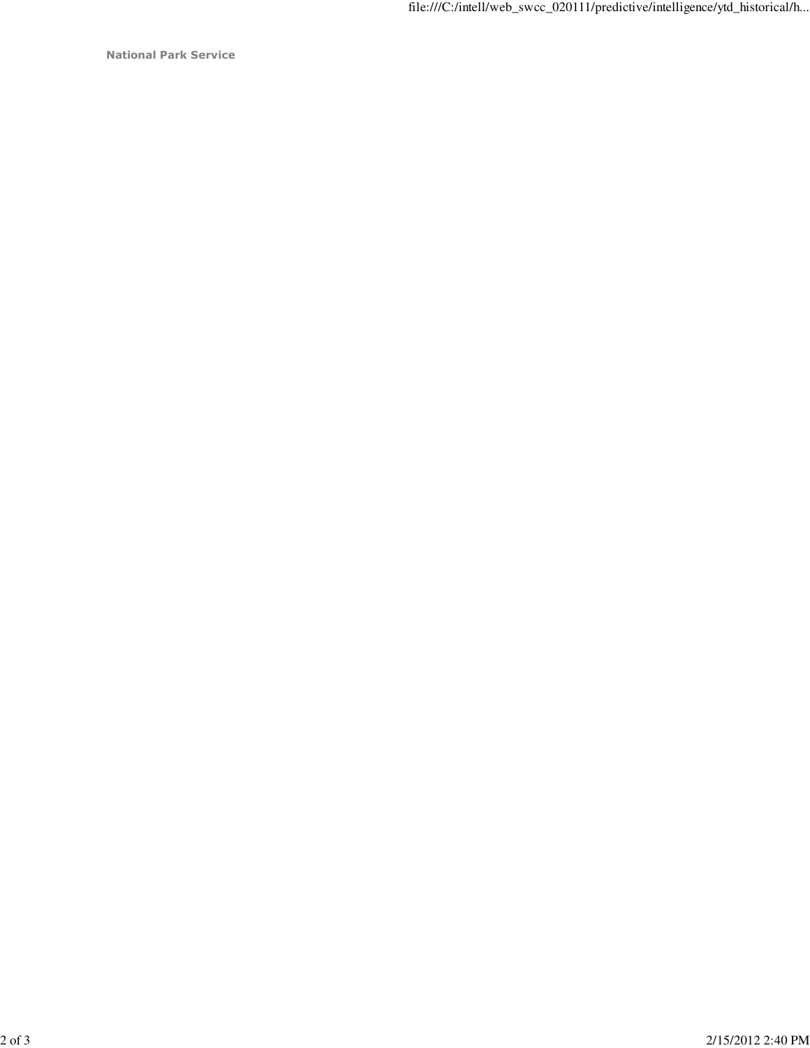National Park Service